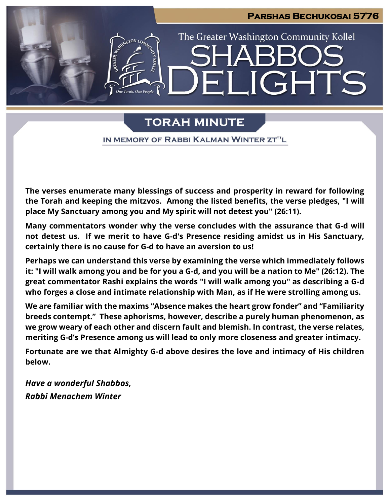

# **TORAH MINUTE**

IN MEMORY OF RABBI KALMAN WINTER ZT"L

**The verses enumerate many blessings of success and prosperity in reward for following the Torah and keeping the mitzvos. Among the listed benefits, the verse pledges, "I will place My Sanctuary among you and My spirit will not detest you" (26:11).** 

**Many commentators wonder why the verse concludes with the assurance that G-d will not detest us. If we merit to have G-d's Presence residing amidst us in His Sanctuary, certainly there is no cause for G-d to have an aversion to us!**

**Perhaps we can understand this verse by examining the verse which immediately follows it: "I will walk among you and be for you a G-d, and you will be a nation to Me" (26:12). The great commentator Rashi explains the words "I will walk among you" as describing a G-d who forges a close and intimate relationship with Man, as if He were strolling among us.** 

**We are familiar with the maxims "Absence makes the heart grow fonder" and "Familiarity breeds contempt." These aphorisms, however, describe a purely human phenomenon, as we grow weary of each other and discern fault and blemish. In contrast, the verse relates, meriting G-d's Presence among us will lead to only more closeness and greater intimacy.**

**Fortunate are we that Almighty G-d above desires the love and intimacy of His children below.**

*Have a wonderful Shabbos, Rabbi Menachem Winter*